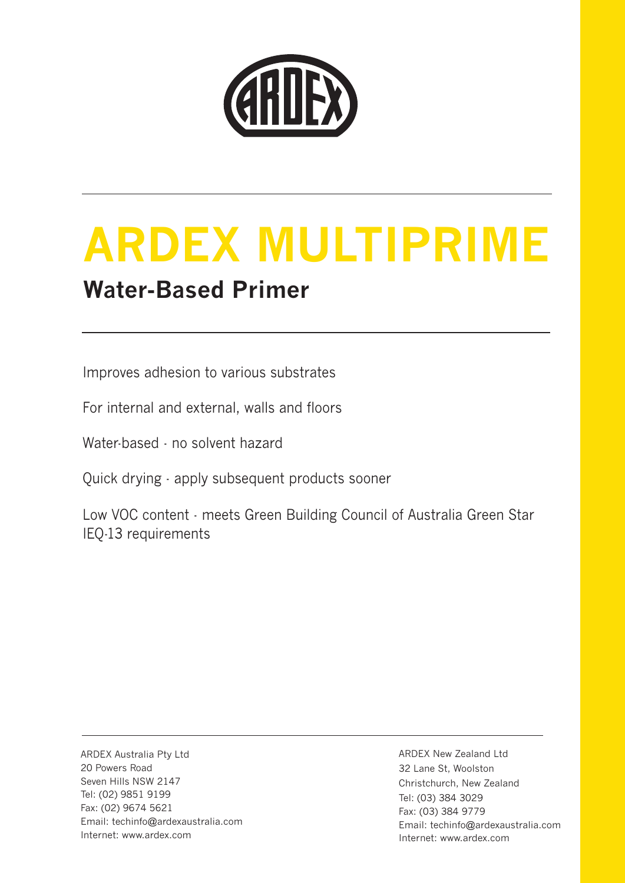

# **ARDEX MULTIPRIME Water-Based Primer**

Improves adhesion to various substrates

For internal and external, walls and floors

Water-based - no solvent hazard

Quick drying - apply subsequent products sooner

Low VOC content - meets Green Building Council of Australia Green Star IEQ-13 requirements

ARDEX Australia Pty Ltd 20 Powers Road Seven Hills NSW 2147 Tel: (02) 9851 9199 Fax: (02) 9674 5621 Email: techinfo@ardexaustralia.com Internet: www.ardex.com

ARDEX New Zealand Ltd 32 Lane St, Woolston Christchurch, New Zealand Tel: (03) 384 3029 Fax: (03) 384 9779 Email: techinfo@ardexaustralia.com Internet: www.ardex.com